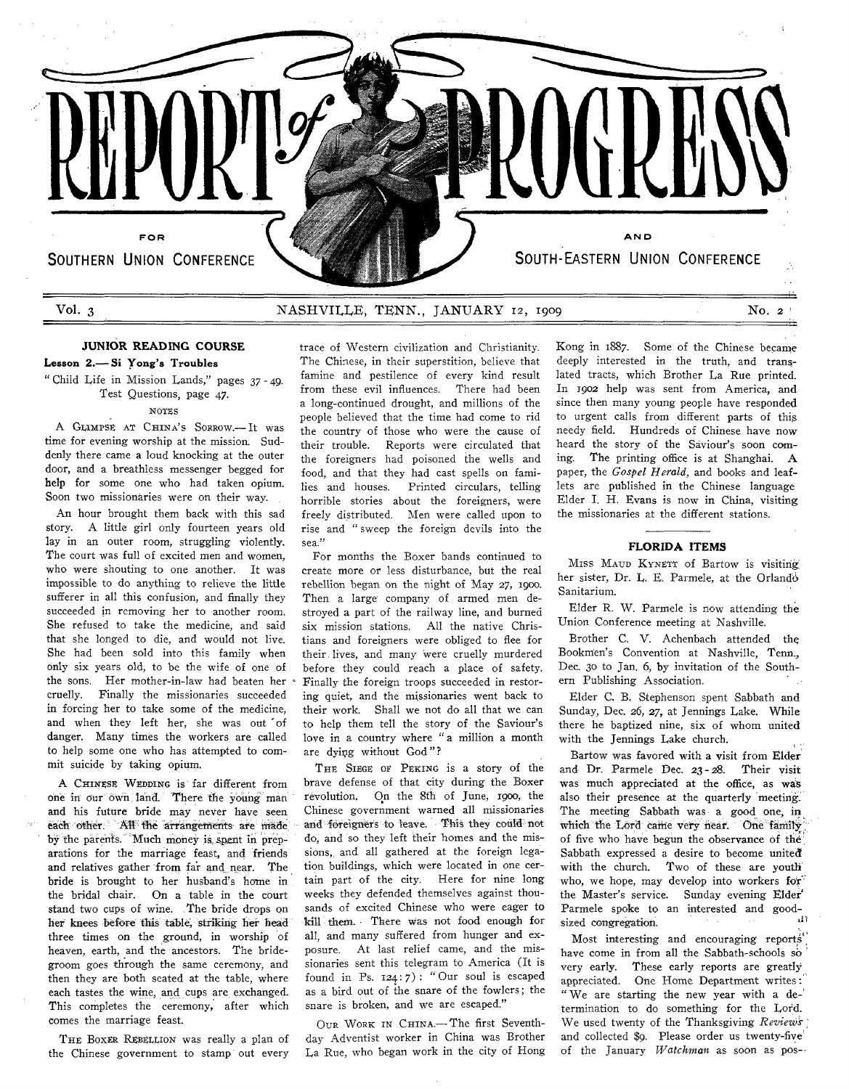

# **JUNIOR READING COURSE**

### **Lesson 2.— Si Yong's Troubles**

" Child Life in Mission Lands," pages 37 - 49. Test Questions, page 47. NOTES

A GLIMPSE AT CHINA'S SORROW.-It was time for evening worship at the mission. Suddenly there came a loud knocking at the outer door, and a breathless messenger begged for help for some one who had taken opium. Soon two missionaries were on their way.

An hour brought them back with this sad story. A little girl only fourteen years old lay in an outer room, struggling violently. The court was full of excited men and women, who were shouting to one another. It was impossible to do anything to relieve the little sufferer in all this confusion, and finally they succeeded in removing her to another room. She refused to take the medicine, and said that she longed to die, and would not live. She had been sold into this family when only six years old, to be the wife of one of the sons. Her mother-in-law had beaten her cruelly. Finally the missionaries succeeded in forcing her to take some of the medicine, and when they left her, she was out of danger. Many times the workers are called to help some one who has attempted to commit suicide by taking opium.

A CHINESE WEDDING is far different from one in our own land. There the young man and his future bride may never have seen each other. 'All the arrangements are made by the parents. Much money is. spent in preparations for the marriage feast, and friends and relatives gather from far and near. The bride is brought to her husband's home in the bridal chair. On a table in the court stand two cups of wine. The bride drops on her knees before this table, striking her head three times on the ground, in worship of heaven, earth, and the ancestors. The bridegroom goes through the same ceremony, and then they are both seated at the table, where each tastes the wine, and cups are exchanged. This completes the ceremony, after which comes the marriage feast.

THE BOXER REBELLION was really a plan of the Chinese government to stamp out every

trace of Western civilization and Christianity. The Chinese, in their superstition, believe that famine and pestilence of every kind result from these evil influences. There had been a long-continued drought, and millions of the people believed that the time had come to rid the country of those who were the cause of their trouble. Reports were circulated that the foreigners had poisoned the wells and food, and that they had cast spells on families and houses. Printed circulars, telling horrible stories about the foreigners, were freely distributed. Men were called upon to rise and " sweep the foreign devils into the sea."

For months the Boxer bands continued to create more or less disturbance, but the real rebellion began on the night of May 27, 1900. Then a large company of armed men destroyed a part of the railway line, and burned six mission stations. All the native Christians and foreigners were obliged to flee for their, lives, and many were cruelly murdered before they could reach a place of safety. Finally the foreign troops succeeded in restoring quiet, and the missionaries went back to their work. Shall we not do all that we can to help them tell the story of the Saviour's love in a country where "a million a month are dying without God"?

THE SIEGE OF PEKING is a story of the brave defense of that city during the Boxer revolution. On the 8fh of June, 1900, the Chinese government warned all missionaries and foreigners to leave. This they could not do, and so they left their homes and the missions,, and all gathered at the foreign legation buildings, which were located in one certain part of the city. Here for nine long weeks they defended themselves against thousands of excited Chinese who were eager to kill them. There was not food enough for all, and many suffered from hunger and exposure. At last relief came, and the missionaries sent this telegram to America (It is found in Ps.  $124:7$ : "Our soul is escaped as a bird out of the snare of the fowlers; the snare is broken, and we are escaped."

OUR WORK IN CHINA.-The first Seventhday Adventist worker in China was Brother La Rue, who began work in the city of Hong

Kong in 1887. Some of the Chinese became deeply interested in the truth, and translated tracts, which Brother La Rue printed. In 1902 help was sent from America, and since then many young people have responded to urgent calls from different parts of thig needy field. Hundreds of Chinese have now heard the story of the Saviour's soon coming. The printing office is at Shanghai. A paper, the *Gospel Herald,* and books and leaflets are published in the Chinese language Elder I. H. Evans is now in China, visiting the missionaries at the different stations.

## **FLORIDA ITEMS**

MISS MAUD KYNETT of Bartow is visiting her sister, Dr. L. E. Parmele, at the Orlando Sanitarium.

Elder R. W. Parmele is now attending the Union Conference meeting at Nashville.

Brother C. V. Achenbach attended the Bookmen's Convention at Nashville, Tenn., Dec. 30 to Jan. 6, by invitation of the Southern Publishing Association.

Elder C. B. Stephenson spent Sabbath and Sunday, Dec. 26, 27, at Jennings Lake. While there he baptized nine, six of whom united with the Jennings Lake church.

Bartow was favored with a visit from Elder and Dr. Parmele Dec. 23 - 28. Their visit was much appreciated at the office, as was also their presence at the quarterly meeting. The meeting Sabbath was a good one, in which'the Lord came very near. One family of five who have begun the observance of the' Sabbath expressed a desire to become united with the church. Two of these are youth who, we hope, may develop into workers for' the Master's service. Sunday evening Elder Parmele spoke to an interested and goodsized congregation.

Most interesting and encouraging reports have come in from all the Sabbath-schools  $s\dot{o}$ very early. These early reports are greatly appreciated. One Home Department writes: " We are starting the new year with a determination to do something for the Lord. We used twenty of the Thanksgiving *Reviews* and collected \$9. Please order us twenty-five' of the January Watchman as soon as pos--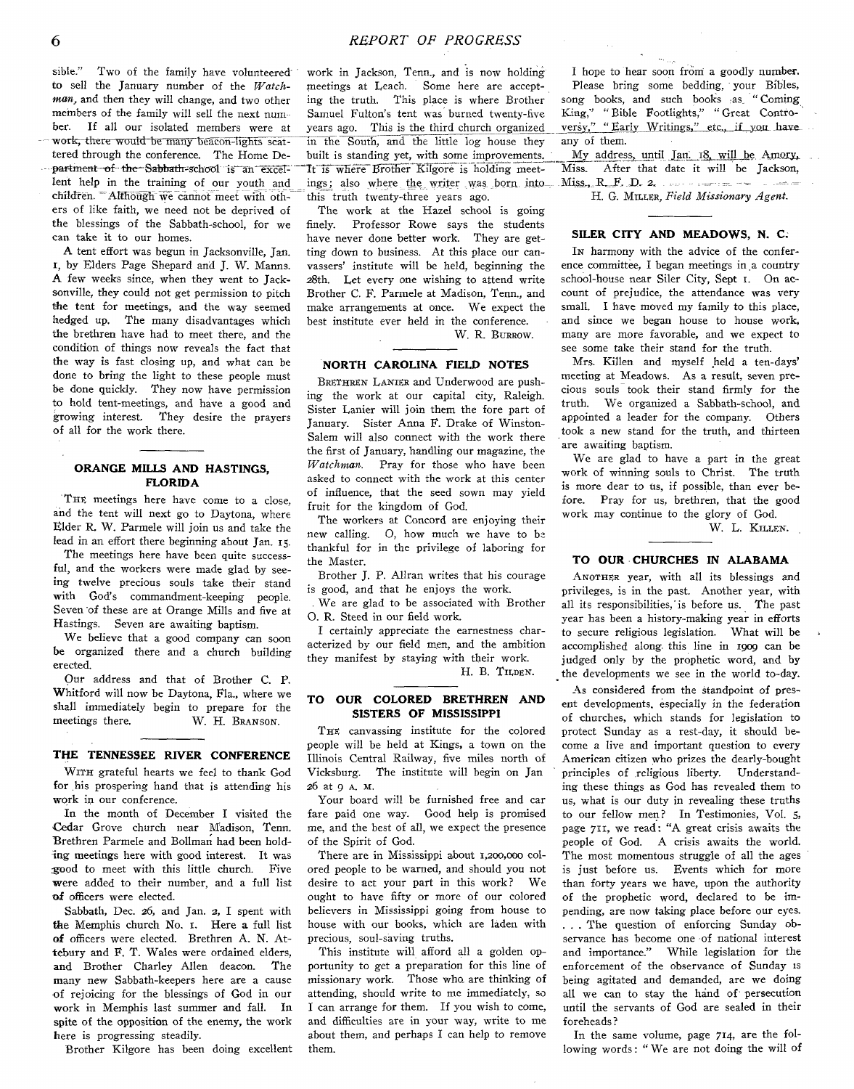sible." Two of the family have volunteered to sell the January number of the *Watchman.,* and then they will change, and two other members of the family will sell the next number. If all our isolated members were at work, there would be many beacon-lights scattered through the conference. The Home Department of the Sabbath-school is an excellent help in the training of our youth and children. Although we. cannot meet with others of like faith, we need not be deprived of the blessings of the Sabbath-school, for we can take it to our homes.

A tent effort was begun in Jacksonville, Jan. 1, by Elders Page Shepard and J. W. Manns. A few weeks since, when they went to Jacksonville, they could not get permission to pitch the tent for meetings, and the way seemed hedged up. The many disadvantages which the brethren have had to meet there, and the condition of things now reveals the fact that the way is fast closing up, and what can be done to bring the light to these people must be done quickly. They now have permission to hold tent-meetings, and have a good and growing interest. They desire the prayers of all for the work there.

## **ORANGE MILLS AND HASTINGS, FLORIDA**

THE meetings here have come to a close, and the tent will next go to Daytona, where Elder R. W. Parmele will join us and take the lead in an effort there beginning about Jan. 15.

The meetings here have been quite successful, and the workers were made glad by seeing twelve precious souls take their stand with God's commandment-keeping people. Seven of these are at Orange Mills and five at Hastings. Seven are awaiting baptism.

We believe that a good company can soon be organized there and a church building erected.

Our address and that of Brother C. P. Whitford will now be Daytona, Fla., where we shall immediately begin to prepare for the meetings there. W. H. BRANSON.

### **THE TENNESSEE RIVER CONFERENCE**

WITH grateful hearts we feel to thank God for his prospering hand that is attending his work in our conference.

In the month of December I visited the Cedar Grove church near Madison, Tenn. Brethren Parmele and Bollman had been holding meetings here with good interest. It was good to meet with this little church. Five were added to their number, and a full list of officers were elected.

Sabbath, Dec. 26, and Jan. 2, I spent with the Memphis church No. 1. Here a full list of officers were elected. Brethren A. N. Attebury and F. T. Wales were ordained elders, and Brother Charley Allen deacon. The many new Sabbath-keepers here are a cause of rejoicing for the blessings of God in our work in Memphis last summer and fall. In spite of the opposition of the enemy, the work here is progressing steadily.

Brother Kilgore has been doing excellent

work in Jackson, Tenn., and is now holding meetings at Leach. Some here are accepting the truth. This place is where Brother Samuel Fulton's tent was burned twenty-five years ago. This is the third church organized in the South, and the little log house they built is standing yet, with some improvements. It is where Brother Kilgore is holding meetings; also where the writer was born into this truth twenty-three years ago.

The work at the Hazel school is going finely. Professor Rowe says the students have never done better work. They are getting down to business. At this place our canvassers' institute will be held, beginning the 28th. Let every one wishing to attend write Brother C. F. Parmele at Madison, Tenn., and make arrangements at once. We expect the best institute ever held in the conference.

W. R. BURROW.

# **NORTH CAROLINA FIELD NOTES**

BRETHREN LANIER and Underwood are pushing the work at our capital city, Raleigh. Sister Lanier will join them the fore part of January. Sister Anna F. Drake of Winston-Salem will also connect with the work there the first of January, handling our magazine, the *Watchman.* Pray for those who have been asked to connect with the work at this center of influence, that the seed sown may yield fruit for the kingdom of God.

The workers at Concord are enjoying their new calling. O, how much we have to be thankful for in the privilege of laboring for the Master.

Brother J. P. Allran writes that his courage is good, and that he enjoys the work.

. We are glad to be associated with Brother O. R. Steed in our field work.

I certainly appreciate the earnestness characterized by our field men, and the ambition they manifest by staying with their work. H. B. TILDEN.

## **TO OUR COLORED BRETHREN AND SISTERS OF MISSISSIPPI**

THE canvassing institute for the colored people will be held at Kings, a town on the Illinois Central Railway, five miles north of Vicksburg. The institute will begin on Jan 26 at 9 A. M.

Your board will be furnished free and car fare paid one way. Good help is promised me, and the best of all, we expect the presence of the Spirit of God.

There are in Mississippi about 1,200,000 colored people to be warned, and should you not desire to act your part in this work? We ought to have fifty or more of our colored believers in Mississippi going from house to house with our books, which are laden with precious, soul-saving truths.

This institute will afford all a golden opportunity to get a preparation for this line of missionary work. Those who, are thinking of attending, should write to me immediately, so I can arrange for them. If you wish to come, and difficulties are in your way, write to me about them, and perhaps I can help to remove them.

I hope to hear soon from a goodly number. Please bring some bedding, your Bibles, song books, and such books as "Coming King," " Bible Footlights," " Great Controversy," "Early Writings," etc., if you have any of them.

 $\bar{\mathcal{A}}$ 

My address, until Jan. 18. will be Amory. Miss. After that date it will be Jackson,  $Miss$ ,  $R$ ,  $F$ ,  $D$ ,  $2$ ,  $\cdots$  -  $\cdots$  -  $\cdots$  -  $\cdots$ 

H. G. MILLER, Field Missionary Agent.

### **SILER CITY AND MEADOWS, N. C.**

In harmony with the advice of the conference committee, I began meetings in a country school-house near Siler City, Sept 1. On account of prejudice, the attendance was very small. I have moved my family to this place, and since we began house to house work, many are more favorable, and we expect to see some take their stand for the truth.

Mrs. Killen and myself held a ten-days' meeting at Meadows. As a result, seven precious souls took their stand firmly for the truth. We organized a Sabbath-school, and appointed a leader for the company. Others took a new stand for the truth, and thirteen are awaiting baptism.

We are glad to have a part in the great work of winning souls to Christ. The truth is more dear to us, if possible, than ever before. Pray for us, brethren, that the good work may continue to the glory of God.

W. L. KILLEN.

### **TO OUR CHURCHES IN ALABAMA**

ANOTHER year, with all its blessings and privileges, is in the past. Another year, with all its responsibilities,' is before us. The past year has been a history-making year in efforts to secure religious legislation. What will be accomplished along, this line in 1909 can be judged only by the prophetic word, and by the developments we see in the world to-day.

As considered from the standpoint of present developments, especially in the federation of churches, which stands for legislation to protect Sunday as a rest-day, it should become a live and important question to every American citizen who prizes the dearly-bought principles of religious liberty. Understanding these things as God has revealed them to us, what is our duty in revealing these truths to our fellow men? In Testimonies, Vol. 5, page 711, we read: "A great crisis awaits the people of God. A crisis awaits the world. The most momentous struggle of all the ages is just before us. Events which for more than forty years we have, upon the authority of the prophetic word, declared to be impending, are now taking place before our eyes. . . . The question of enforcing Sunday observance has become one of national interest and importance." While legislation for the enforcement of the observance of Sunday is being agitated and demanded, are we doing all we can to stay the hand of persecution until the servants of God are sealed in their foreheads ?

In the same volume, page 714, are the following words: "We are not doing the will of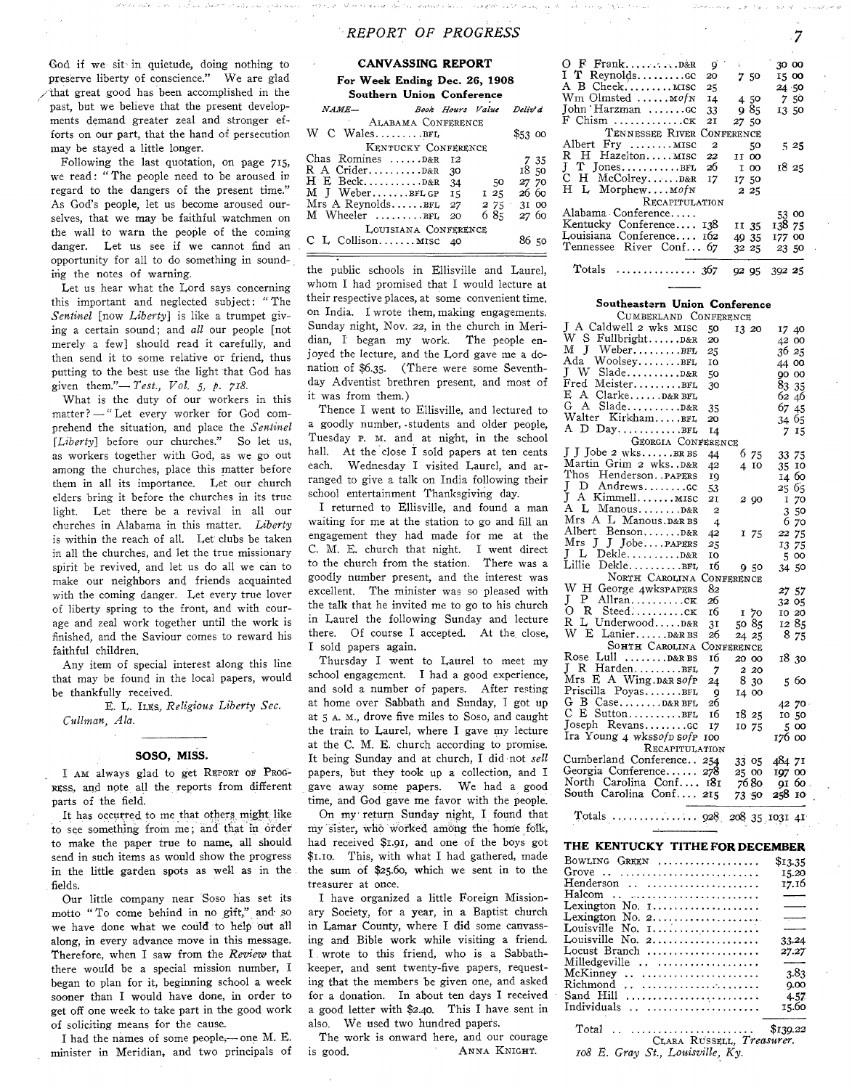# *REPO RT OF PROGRESS 7*

God if we sit in quietude, doing nothing to preserve liberty of conscience." We are glad /that great good has been accomplished in the past, but we believe that the present developments demand greater zeal and stronger efforts on our part, that the hand of persecution may be stayed a little longer.

Following the last quotation, on page 715, we read: " The people need to be aroused in regard to the dangers of the present time." As God's people, let us become aroused ourselves, that we may be faithful watchmen on the wall to warn the people of the coming danger. Let us see if we cannot find an opportunity for all to do something in sounding the notes of warning.

Let us hear what the Lord says concerning this important and neglected subject: " The *Sentinel* [now *Liberty*] is like a trumpet giving a certain sound; and *all* our people [not merely a few] should read it carefully, and then send it to some relative or friend, thus putting to the best use the light that God has given them."—*-Test., Vol.* 5, *p. 718.*

What is the duty of our workers in this matter? — " Let every worker for God comprehend the situation, and place the *Sentinel* [Liberty] before our churches." So let us, as workers together with God, as we go out among the churches, place this matter before them in all its importance. Let our church elders bring it before the churches in its true light. Let there be a revival in all our churches in Alabama in this matter. *Liberty* is within the reach of all. Let clubs be taken in all the churches, and let the true missionary spirit be revived, and let us do all we can to make our neighbors and friends acquainted with the coming danger. Let every true lover of liberty spring to the front, and with courage and zeal work together until the work is finished, and the Saviour comes to reward his faithful children.

Any item of special interest along this line that may be found in the local papers, would be thankfully received.

E. L. ILES, *Religious Liberty Sec. Cullman, Ala.*

#### **SOSO, MISS.**

I AM always glad to get REPORT OF PROG-RESS, and note all the reports from different parts of the field.

It has occurred, to me that others might like to see something from me; and that in order to make the paper true to name, all should send in such items as would show the progress in the little garden spots as well as in the . fields.

Our little company near Soso has set its motto "To come behind in no gift," and so we have done what we could to help dût all along, in every advance move in this message. Therefore, when I saw from the *Review* that there would be a special mission number, I began to plan for it, beginning school a week sooner than I would have done, in order to get off one week to take part in the good work of soliciting means for the cause.

I had the names of some people,- one M. E. minister in Meridian, and two principals of

## **CANVASSING REPORT For Week Ending Dec. 26, 1908**

**Southern Union Conference**

*N A M E* — *Book H ours Value Delix? d* ALABAMA CONFERENCE W C W ales................. bee \$53 00 KENTUCKY CONFERENCE<br>ines ......D&R  $12$ Chas Romines ......D&R 12 7 35<br>R A Crider..........D&R 30 18 50 R A Crider................... <sup>d</sup> &<sup>r</sup> 30 18 50 H E Beck.....................<sup>d</sup> &<sup>r</sup> 34 50 27 70 M J Weber.......BFL GP 15 1 25<br>Mrs A Reynolds...... BFL 27 2 75<br>M Wheeler .........BFL 20 6 85  $Mrs$  A Reynolds  $\ldots$  BFL 27 2 75 31 00 M Wheeler  $\dots \dots \dots$  BFL 20 6 85 27 60 LOUISIANA CONFERENCE  $CL$  Collison........ MISC  $40$  86 50

the public schools in Ellisville and Laurel, whom I had promised that I would lecture at their respective places, at some convenient time, on India. I wrote them, making engagements. Sunday night, Nov. 22, in the church in Meridian, I began my work. The people enjoyed the lecture, and the Lord gave me a donation of \$6.35. (There were some Seventhday Adventist brethren present, and most of it was from them.)

Thence I went to Ellisville, and lectured to a goodly number, .students and older people, Tuesday P. M. and at night, in the school hall. At the close I sold papers at ten cents each. Wednesday I visited Laurel, and arranged to give a talk on India following their school entertainment Thanksgiving day.

I returned to Ellisville, and found a man waiting for me at the station to go and fill an engagement they had made for me at the C. M. E. church that night. I went direct to the church from the station. There was a goodly number present, and the interest was excellent. The minister was so pleased with the talk that he invited me to go to his church in Laurel the following Sunday and lecture there. Of course I accepted. At the close, I sold papers again.

Thursday I went to Laurel to meet my school engagement. I had a good experience, and sold a number of papers. After resting at home over Sabbath and Sunday, I got up at 5 A. M., drove five miles to Soso, and caught the train to Laurel, where I gave my lecture at the C. M. E. church according to promise. It being Sunday and at church, I did not *sell* papers, But they took up a collection, and I gave away some papers. We had a good time, and God gave me favor with the people.

On my return Sunday night, I found that my sister, who worked among the home folk, had received \$1.91, and one of the boys got \$1.10. This, with what I had gathered, made the sum of \$23.60, which we sent in to the treasurer at once.

I have organized a little Foreign Missionary Society, for a year, in a Baptist church in Lamar County, where I did some canvassing and Bible work while visiting a friend. I . wrote to this friend, who is a Sabbathkeeper, and sent twenty-five papers, requesting that the members be given one, and asked for a donation. In about ten days I received a good letter with \$2.40. This I have sent in also. We used two hundred papers.

The work is onward here, and our courage is good. ANNA KNIGHT.

|                            | q.               |       |       | 30 00        |       |
|----------------------------|------------------|-------|-------|--------------|-------|
| I T Reynoldscc             | 20               |       | 750   |              | 15 00 |
| A B Cheek MISC             | 25               |       |       | 24 50        |       |
| Wm Olmsted  MofN           | I4               |       | 4.50  |              | 750   |
| John Harzman GC            | 33               |       | 985   |              | 13 50 |
| F Chism ck                 | 21               | 27 50 |       |              |       |
| TENNESSEE RIVER CONFERENCE |                  |       |       |              |       |
| Albert Fry  MISC           | $\boldsymbol{2}$ |       | - 50  |              | 525   |
| R H Hazelton MISC          | 22               | II 00 |       |              |       |
| $J$ T JonesBFL 26          |                  |       | I 00  |              | 18 25 |
| C H McColreyD&R            | 17               | 17 50 |       |              |       |
| H L Morphew MofN           |                  |       | 2 25  |              |       |
| RECAPITULATION             |                  |       |       |              |       |
| Alabama Conference         |                  |       |       |              | 53 00 |
| Kentucky Conference 138    |                  |       | II 35 | 138 75       |       |
| Louisiana Conference 162   |                  |       | 49 35 | 177 00       |       |
| Tennessee River Conf 67    |                  |       | 32 25 |              | 23 50 |
|                            |                  |       |       | 92 95 392 25 |       |

#### **Southeastern Union Conference**

| CUMBERLAND CONFERENCE                         |                |            |             |       |
|-----------------------------------------------|----------------|------------|-------------|-------|
| J A Caldwell 2 wks MISC                       | 50             | 13 20      | 17 40       |       |
| W S Fullbright D&R                            | 20             |            | 42 00       |       |
|                                               | 25             |            | 36 25       |       |
| M J WeberBFL<br>Ada WoolseyBFL                | 10             |            | 44 00       |       |
| W Slade D&R<br>T                              | 50             |            | 90 00       |       |
| Fred MeisterBFL                               | 30             |            | 83 35       |       |
| E A Clarke D&R BFL                            |                |            | 6246        |       |
|                                               | 35             |            | 67 45       |       |
| Walter KirkhamBFL                             | 20             |            | 34 65       |       |
| A D DayBFL                                    | 14             |            |             | 715   |
| GEORGIA CONFERENCE                            |                |            |             |       |
| J J Jobe 2 wksBR BS                           | 44             | 6 75       | 33 75       |       |
| Martin Grim 2 wksD&R                          | 42             | 4 10       | 35          | 10    |
| Thos Henderson. . PAPERS                      | 19             |            |             | 14 60 |
|                                               | 53             |            | 25 65       |       |
| $\frac{J}{J}$<br>D Andrewscc<br>A KimmellMISC | 2Ι             | 2 9 0      | I           | 70    |
| A L Manous D&R                                | $\overline{a}$ |            | 3           | 50    |
| Mrs A L Manous. D&R BS                        | $\overline{4}$ |            |             | 670   |
| Albert<br>BensonD&R                           | 42             | I 75       | 22          | 75    |
| Mrs J J JobePAPERS                            | 25             |            | 13          | 75    |
| L<br>$L$ Dekle $D&R$                          | 10             |            | 5.          | oo    |
| Lillie DekleBFL                               | 16             | 950        |             | 34 50 |
| NORTH CAROLINA CONFERENCE                     |                |            |             |       |
| W H<br>George 4wkspapers                      | 82             |            | 27 57       |       |
| J<br>$P$ Allran $CK$                          | 26             |            | 32 05       |       |
| O R Steedck                                   | 16             | 170        |             | 10 20 |
| R L Underwood D&R                             | 31             | 50 85      |             | 1285  |
| W E Lanier D&R BS                             | 26             | 24 25      |             | 8 75  |
| SOHTH CAROLINA                                |                | CONFERENCE |             |       |
| Rose Lull  D&R BS                             | 16             | 20 00      |             | 1830  |
|                                               | 7              | 2 20       |             |       |
| J R HardenBFL<br>Mrs E A Wing.D&R Sofp        | 24             | 830        |             | 5 60  |
| Priscilla PoyasBFL                            | <b>g</b>       | I4 00      |             |       |
| G B CaseD&R BFL<br>C E SuttonBFL              | 26             |            |             | 42 70 |
|                                               | 16             | 18 25      |             | 10 50 |
| Joseph Revanscc                               | 17             | 10 75      | $5^{\circ}$ | oo    |
| Ira Young 4 wkssofp sofp                      | 100            |            | 176 00      |       |
| RECAPITULATION                                |                |            |             |       |
| Cumberland Conference 254                     |                | 33 05      | 484 71      |       |
| Georgia Conference 278                        |                | 25 00      | 197 00      |       |
| North Carolina Conf 181                       |                | 76 80      | 91 60       |       |
| South Carolina Conf 215                       |                | 73 50      | 258 10      |       |
| $T_{\text{total}}$                            | - 0            | ۵          |             |       |
|                                               |                |            |             |       |

Totals 928 208 35.1031 41

**THE KENTUCKY TITHE FOR DECEMBER**

| BOWLING GREEN<br>Grove<br>Henderson<br>$Haleom \ldots \ldots \ldots \ldots \ldots \ldots \ldots$ | \$13.35<br>15.20<br>17.16 |
|--------------------------------------------------------------------------------------------------|---------------------------|
|                                                                                                  |                           |
|                                                                                                  |                           |
|                                                                                                  |                           |
|                                                                                                  |                           |
| Lexington No. 1                                                                                  |                           |
|                                                                                                  |                           |
| Louisville No. 1                                                                                 | $\overline{\phantom{a}}$  |
| Louisville No. $2$                                                                               | 33.24                     |
| Locust Branch                                                                                    | 27.27                     |
| Milledgeville                                                                                    | -------                   |
| McKinney                                                                                         | 3.83                      |
| $Richard \dots \dots \dots \dots \dots \dots \dots$                                              | 0.00                      |
| Sand Hill                                                                                        | 4.57                      |
| Individuals                                                                                      | 15.60                     |
|                                                                                                  |                           |

Total .................................................. \$139.22 CLARA RUSSELL, *Treasurer 108 E. Gray St., Louisville, Ky.*